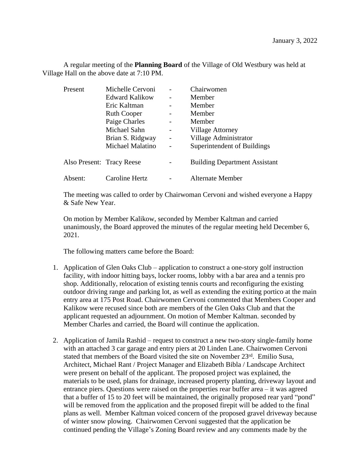A regular meeting of the **Planning Board** of the Village of Old Westbury was held at Village Hall on the above date at 7:10 PM.

| Present                   | Michelle Cervoni   | Chairwomen                           |
|---------------------------|--------------------|--------------------------------------|
|                           | Edward Kalikow     | Member                               |
|                           | Eric Kaltman       | Member                               |
|                           | <b>Ruth Cooper</b> | Member                               |
|                           | Paige Charles      | Member                               |
|                           | Michael Sahn       | <b>Village Attorney</b>              |
|                           | Brian S. Ridgway   | Village Administrator                |
|                           | Michael Malatino   | Superintendent of Buildings          |
| Also Present: Tracy Reese |                    | <b>Building Department Assistant</b> |
| Absent:                   | Caroline Hertz     | Alternate Member                     |

The meeting was called to order by Chairwoman Cervoni and wished everyone a Happy & Safe New Year.

On motion by Member Kalikow, seconded by Member Kaltman and carried unanimously, the Board approved the minutes of the regular meeting held December 6, 2021.

The following matters came before the Board:

- 1. Application of Glen Oaks Club application to construct a one-story golf instruction facility, with indoor hitting bays, locker rooms, lobby with a bar area and a tennis pro shop. Additionally, relocation of existing tennis courts and reconfiguring the existing outdoor driving range and parking lot, as well as extending the exiting portico at the main entry area at 175 Post Road. Chairwomen Cervoni commented that Members Cooper and Kalikow were recused since both are members of the Glen Oaks Club and that the applicant requested an adjournment. On motion of Member Kaltman. seconded by Member Charles and carried, the Board will continue the application.
- 2. Application of Jamila Rashid request to construct a new two-story single-family home with an attached 3 car garage and entry piers at 20 Linden Lane. Chairwomen Cervoni stated that members of the Board visited the site on November 23rd. Emilio Susa, Architect, Michael Rant / Project Manager and Elizabeth Bibla / Landscape Architect were present on behalf of the applicant. The proposed project was explained, the materials to be used, plans for drainage, increased property planting, driveway layout and entrance piers. Questions were raised on the properties rear buffer area – it was agreed that a buffer of 15 to 20 feet will be maintained, the originally proposed rear yard "pond" will be removed from the application and the proposed firepit will be added to the final plans as well. Member Kaltman voiced concern of the proposed gravel driveway because of winter snow plowing. Chairwomen Cervoni suggested that the application be continued pending the Village's Zoning Board review and any comments made by the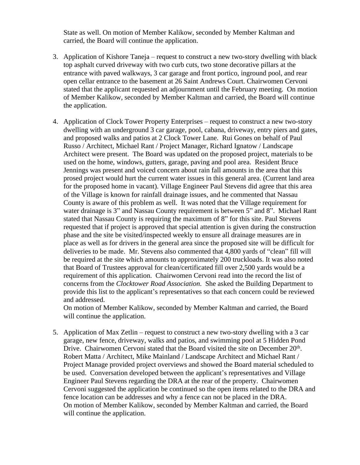State as well. On motion of Member Kalikow, seconded by Member Kaltman and carried, the Board will continue the application.

- 3. Application of Kishore Taneja request to construct a new two-story dwelling with black top asphalt curved driveway with two curb cuts, two stone decorative pillars at the entrance with paved walkways, 3 car garage and front portico, inground pool, and rear open cellar entrance to the basement at 26 Saint Andrews Court. Chairwomen Cervoni stated that the applicant requested an adjournment until the February meeting. On motion of Member Kalikow, seconded by Member Kaltman and carried, the Board will continue the application.
- 4. Application of Clock Tower Property Enterprises request to construct a new two-story dwelling with an underground 3 car garage, pool, cabana, driveway, entry piers and gates, and proposed walks and patios at 2 Clock Tower Lane. Rui Gones on behalf of Paul Russo / Architect, Michael Rant / Project Manager, Richard Ignatow / Landscape Architect were present. The Board was updated on the proposed project, materials to be used on the home, windows, gutters, garage, paving and pool area. Resident Bruce Jennings was present and voiced concern about rain fall amounts in the area that this prosed project would hurt the current water issues in this general area. (Current land area for the proposed home in vacant). Village Engineer Paul Stevens did agree that this area of the Village is known for rainfall drainage issues, and he commented that Nassau County is aware of this problem as well. It was noted that the Village requirement for water drainage is 3" and Nassau County requirement is between 5" and 8". Michael Rant stated that Nassau County is requiring the maximum of 8" for this site. Paul Stevens requested that if project is approved that special attention is given during the construction phase and the site be visited/inspected weekly to ensure all drainage measures are in place as well as for drivers in the general area since the proposed site will be difficult for deliveries to be made. Mr. Stevens also commented that 4,800 yards of "clean" fill will be required at the site which amounts to approximately 200 truckloads. It was also noted that Board of Trustees approval for clean/certificated fill over 2,500 yards would be a requirement of this application. Chairwomen Cervoni read into the record the list of concerns from the *Clocktower Road Association*. She asked the Building Department to provide this list to the applicant's representatives so that each concern could be reviewed and addressed.

On motion of Member Kalikow, seconded by Member Kaltman and carried, the Board will continue the application.

5. Application of Max Zetlin – request to construct a new two-story dwelling with a 3 car garage, new fence, driveway, walks and patios, and swimming pool at 5 Hidden Pond Drive. Chairwomen Cervoni stated that the Board visited the site on December 20<sup>th</sup>. Robert Matta / Architect, Mike Mainland / Landscape Architect and Michael Rant / Project Manage provided project overviews and showed the Board material scheduled to be used. Conversation developed between the applicant's representatives and Village Engineer Paul Stevens regarding the DRA at the rear of the property. Chairwomen Cervoni suggested the application be continued so the open items related to the DRA and fence location can be addresses and why a fence can not be placed in the DRA. On motion of Member Kalikow, seconded by Member Kaltman and carried, the Board will continue the application.